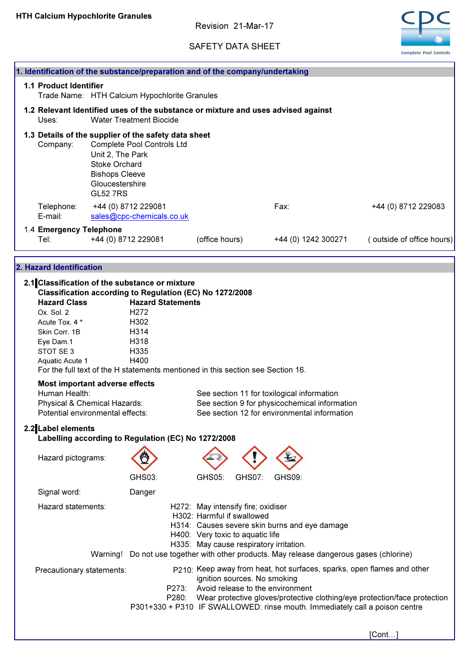Revision 21-Mar-17

# SAFETY DATA SHEET



|                                                                                                                            |                                                                                                         |                                                                                                                                                                                                                                                                                        |                                                                                                                                                 |                              |                                                                                                                                             | <b>Complete Pool Controls</b>                                                                                                                                    |
|----------------------------------------------------------------------------------------------------------------------------|---------------------------------------------------------------------------------------------------------|----------------------------------------------------------------------------------------------------------------------------------------------------------------------------------------------------------------------------------------------------------------------------------------|-------------------------------------------------------------------------------------------------------------------------------------------------|------------------------------|---------------------------------------------------------------------------------------------------------------------------------------------|------------------------------------------------------------------------------------------------------------------------------------------------------------------|
| 1. Identification of the substance/preparation and of the company/undertaking                                              |                                                                                                         |                                                                                                                                                                                                                                                                                        |                                                                                                                                                 |                              |                                                                                                                                             |                                                                                                                                                                  |
| <b>1.1 Product Identifier</b>                                                                                              |                                                                                                         | Trade Name: HTH Calcium Hypochlorite Granules                                                                                                                                                                                                                                          |                                                                                                                                                 |                              |                                                                                                                                             |                                                                                                                                                                  |
| Uses:                                                                                                                      |                                                                                                         | 1.2 Relevant Identified uses of the substance or mixture and uses advised against<br><b>Water Treatment Biocide</b>                                                                                                                                                                    |                                                                                                                                                 |                              |                                                                                                                                             |                                                                                                                                                                  |
| Company:                                                                                                                   | Unit 2, The Park<br><b>Stoke Orchard</b><br><b>Bishops Cleeve</b><br>Gloucestershire<br><b>GL52 7RS</b> | 1.3 Details of the supplier of the safety data sheet<br>Complete Pool Controls Ltd                                                                                                                                                                                                     |                                                                                                                                                 |                              |                                                                                                                                             |                                                                                                                                                                  |
| Telephone:<br>E-mail:                                                                                                      |                                                                                                         | +44 (0) 8712 229081<br>sales@cpc-chemicals.co.uk                                                                                                                                                                                                                                       |                                                                                                                                                 |                              | Fax:                                                                                                                                        | +44 (0) 8712 229083                                                                                                                                              |
| 1.4 Emergency Telephone<br>Tel:                                                                                            |                                                                                                         | +44 (0) 8712 229081                                                                                                                                                                                                                                                                    | (office hours)                                                                                                                                  |                              | +44 (0) 1242 300271                                                                                                                         | (outside of office hours)                                                                                                                                        |
|                                                                                                                            |                                                                                                         |                                                                                                                                                                                                                                                                                        |                                                                                                                                                 |                              |                                                                                                                                             |                                                                                                                                                                  |
| 2. Hazard Identification                                                                                                   |                                                                                                         |                                                                                                                                                                                                                                                                                        |                                                                                                                                                 |                              |                                                                                                                                             |                                                                                                                                                                  |
| <b>Hazard Class</b><br>Ox. Sol. 2<br>Acute Tox. 4 *<br>Skin Corr. 1B<br>Eye Dam.1<br>STOT SE 3<br>Aquatic Acute 1          |                                                                                                         | 2.1 Classification of the substance or mixture<br>Classification according to Regulation (EC) No 1272/2008<br><b>Hazard Statements</b><br>H <sub>2</sub> 72<br>H302<br>H314<br>H318<br>H335<br>H400<br>For the full text of the H statements mentioned in this section see Section 16. |                                                                                                                                                 |                              |                                                                                                                                             |                                                                                                                                                                  |
| <b>Most important adverse effects</b><br>Human Health:<br>Physical & Chemical Hazards:<br>Potential environmental effects: |                                                                                                         |                                                                                                                                                                                                                                                                                        |                                                                                                                                                 |                              | See section 11 for toxilogical information<br>See section 9 for physicochemical information<br>See section 12 for environmental information |                                                                                                                                                                  |
| 2.2 Label elements                                                                                                         |                                                                                                         | Labelling according to Regulation (EC) No 1272/2008                                                                                                                                                                                                                                    |                                                                                                                                                 |                              |                                                                                                                                             |                                                                                                                                                                  |
| Hazard pictograms:                                                                                                         |                                                                                                         | GHS03:                                                                                                                                                                                                                                                                                 | <b>GHS05:</b>                                                                                                                                   | <b>GHS07:</b>                | GHS09:                                                                                                                                      |                                                                                                                                                                  |
| Signal word:                                                                                                               |                                                                                                         | Danger                                                                                                                                                                                                                                                                                 |                                                                                                                                                 |                              |                                                                                                                                             |                                                                                                                                                                  |
| Hazard statements:                                                                                                         |                                                                                                         | Warning! Do not use together with other products. May release dangerous gases (chlorine)                                                                                                                                                                                               | H272: May intensify fire; oxidiser<br>H302: Harmful if swallowed<br>H400: Very toxic to aquatic life<br>H335: May cause respiratory irritation. |                              | H314: Causes severe skin burns and eye damage                                                                                               |                                                                                                                                                                  |
| Precautionary statements:                                                                                                  |                                                                                                         | P273:<br>P280:<br>P301+330 + P310 IF SWALLOWED: rinse mouth. Immediately call a poison centre                                                                                                                                                                                          |                                                                                                                                                 | ignition sources. No smoking | Avoid release to the environment                                                                                                            | p <sub>210</sub> . Keep away from heat, hot surfaces, sparks, open flames and other<br>Wear protective gloves/protective clothing/eye protection/face protection |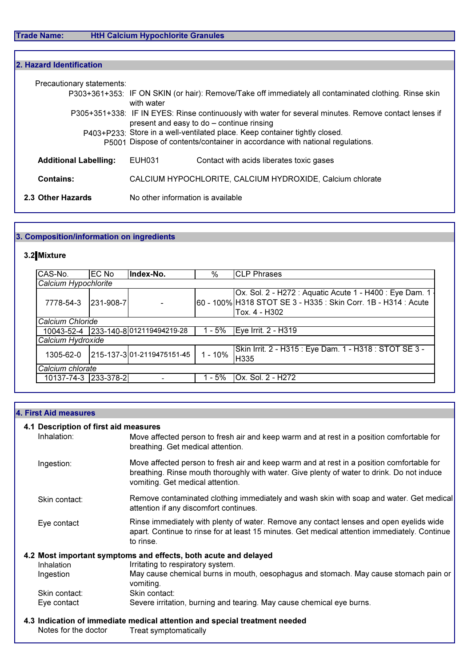Г

| 2. Hazard Identification                                                                                                                                    |                                   |                                                                                                                                                    |  |  |
|-------------------------------------------------------------------------------------------------------------------------------------------------------------|-----------------------------------|----------------------------------------------------------------------------------------------------------------------------------------------------|--|--|
| Precautionary statements:                                                                                                                                   |                                   | P303+361+353: IF ON SKIN (or hair): Remove/Take off immediately all contaminated clothing. Rinse skin                                              |  |  |
|                                                                                                                                                             | with water                        | P305+351+338: IF IN EYES: Rinse continuously with water for several minutes. Remove contact lenses if<br>present and easy to do - continue rinsing |  |  |
| P403+P233; Store in a well-ventilated place. Keep container tightly closed.<br>P5001 Dispose of contents/container in accordance with national regulations. |                                   |                                                                                                                                                    |  |  |
| <b>Additional Labelling:</b>                                                                                                                                | EUH031                            | Contact with acids liberates toxic gases                                                                                                           |  |  |
| <b>Contains:</b>                                                                                                                                            |                                   | CALCIUM HYPOCHLORITE, CALCIUM HYDROXIDE, Calcium chlorate                                                                                          |  |  |
| 2.3 Other Hazards                                                                                                                                           | No other information is available |                                                                                                                                                    |  |  |

# 3. Composition/information on ingredients

# 3.2 Mixture

| CAS-No.              | <b>EC No</b> | Index-No.                           | $\%$      | <b>CLP Phrases</b>                                                                                                                         |  |
|----------------------|--------------|-------------------------------------|-----------|--------------------------------------------------------------------------------------------------------------------------------------------|--|
| Calcium Hypochlorite |              |                                     |           |                                                                                                                                            |  |
| 7778-54-3            | 231-908-7    |                                     |           | Ox. Sol. 2 - H272 : Aquatic Acute 1 - H400 : Eye Dam. 1<br>60 - 100% H318 STOT SE 3 - H335 : Skin Corr. 1B - H314 : Acute<br>Tox. 4 - H302 |  |
| Calcium Chloride     |              |                                     |           |                                                                                                                                            |  |
|                      |              | 10043-52-4 233-140-8012119494219-28 | 1 - 5%    | Eye Irrit. 2 - H319                                                                                                                        |  |
| Calcium Hydroxide    |              |                                     |           |                                                                                                                                            |  |
| 1305-62-0            |              | 215-137-301-2119475151-45           | $1 - 10%$ | Skin Irrit. 2 - H315 : Eye Dam. 1 - H318 : STOT SE 3 -<br>H335                                                                             |  |
| Calcium chlorate     |              |                                     |           |                                                                                                                                            |  |
| 10137-74-3 233-378-2 |              |                                     | - 5%      | Ox. Sol. 2 - H272                                                                                                                          |  |

| <b>4. First Aid measures</b>                         |                                                                                                                                                                                                                             |
|------------------------------------------------------|-----------------------------------------------------------------------------------------------------------------------------------------------------------------------------------------------------------------------------|
| 4.1 Description of first aid measures<br>Inhalation: | Move affected person to fresh air and keep warm and at rest in a position comfortable for<br>breathing. Get medical attention.                                                                                              |
| Ingestion:                                           | Move affected person to fresh air and keep warm and at rest in a position comfortable for<br>breathing. Rinse mouth thoroughly with water. Give plenty of water to drink. Do not induce<br>vomiting. Get medical attention. |
| Skin contact:                                        | Remove contaminated clothing immediately and wash skin with soap and water. Get medical<br>attention if any discomfort continues.                                                                                           |
| Eye contact                                          | Rinse immediately with plenty of water. Remove any contact lenses and open eyelids wide<br>apart. Continue to rinse for at least 15 minutes. Get medical attention immediately. Continue<br>to rinse.                       |
|                                                      | 4.2 Most important symptoms and effects, both acute and delayed                                                                                                                                                             |
| <b>Inhalation</b>                                    | Irritating to respiratory system.                                                                                                                                                                                           |
| Ingestion                                            | May cause chemical burns in mouth, oesophagus and stomach. May cause stomach pain or<br>vomiting.                                                                                                                           |
| Skin contact:                                        | Skin contact:                                                                                                                                                                                                               |
| Eye contact                                          | Severe irritation, burning and tearing. May cause chemical eye burns.                                                                                                                                                       |
|                                                      | 4.3 Indication of immediate medical attention and special treatment needed                                                                                                                                                  |
| Notes for the doctor                                 | Treat symptomatically                                                                                                                                                                                                       |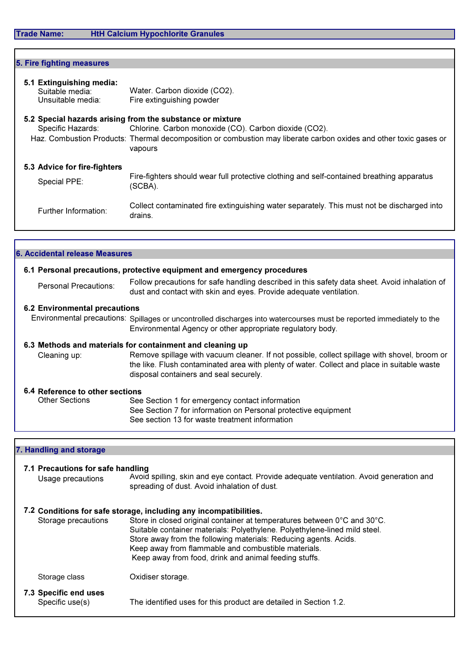| 5. Fire fighting measures                                        |                                                                                                                                                                                                                                                    |
|------------------------------------------------------------------|----------------------------------------------------------------------------------------------------------------------------------------------------------------------------------------------------------------------------------------------------|
| 5.1 Extinguishing media:<br>Suitable media:<br>Unsuitable media: | Water. Carbon dioxide (CO2).<br>Fire extinguishing powder                                                                                                                                                                                          |
| Specific Hazards:                                                | 5.2 Special hazards arising from the substance or mixture<br>Chlorine. Carbon monoxide (CO). Carbon dioxide (CO2).<br>Haz. Combustion Products: Thermal decomposition or combustion may liberate carbon oxides and other toxic gases or<br>vapours |
| 5.3 Advice for fire-fighters<br>Special PPE:                     | Fire-fighters should wear full protective clothing and self-contained breathing apparatus<br>(SCBA).                                                                                                                                               |
| Further Information:                                             | Collect contaminated fire extinguishing water separately. This must not be discharged into<br>drains.                                                                                                                                              |

|                                                                                                                                                                                                                                       | 6. Accidental release Measures       |
|---------------------------------------------------------------------------------------------------------------------------------------------------------------------------------------------------------------------------------------|--------------------------------------|
| 6.1 Personal precautions, protective equipment and emergency procedures                                                                                                                                                               |                                      |
| Follow precautions for safe handling described in this safety data sheet. Avoid inhalation of<br>dust and contact with skin and eyes. Provide adequate ventilation.                                                                   | Personal Precautions:                |
|                                                                                                                                                                                                                                       | <b>6.2 Environmental precautions</b> |
| Environmental precautions: Spillages or uncontrolled discharges into watercourses must be reported immediately to the<br>Environmental Agency or other appropriate regulatory body.                                                   |                                      |
| 6.3 Methods and materials for containment and cleaning up                                                                                                                                                                             |                                      |
| Remove spillage with vacuum cleaner. If not possible, collect spillage with shovel, broom or<br>the like. Flush contaminated area with plenty of water. Collect and place in suitable waste<br>disposal containers and seal securely. | Cleaning up:                         |
|                                                                                                                                                                                                                                       | 6.4 Reference to other sections      |
| See Section 1 for emergency contact information                                                                                                                                                                                       | <b>Other Sections</b>                |
| See Section 7 for information on Personal protective equipment                                                                                                                                                                        |                                      |
| See section 13 for waste treatment information                                                                                                                                                                                        |                                      |
|                                                                                                                                                                                                                                       |                                      |

7. Handling and storage

| 7.1 Precautions for safe handling<br>Usage precautions | Avoid spilling, skin and eye contact. Provide adequate ventilation. Avoid generation and<br>spreading of dust. Avoid inhalation of dust.                                                                                                                                                                                                   |
|--------------------------------------------------------|--------------------------------------------------------------------------------------------------------------------------------------------------------------------------------------------------------------------------------------------------------------------------------------------------------------------------------------------|
|                                                        | 7.2 Conditions for safe storage, including any incompatibilities.                                                                                                                                                                                                                                                                          |
| Storage precautions                                    | Store in closed original container at temperatures between 0°C and 30°C.<br>Suitable container materials: Polyethylene. Polyethylene-lined mild steel.<br>Store away from the following materials: Reducing agents. Acids.<br>Keep away from flammable and combustible materials.<br>Keep away from food, drink and animal feeding stuffs. |
| Storage class                                          | Oxidiser storage.                                                                                                                                                                                                                                                                                                                          |
| 7.3 Specific end uses<br>Specific use(s)               | The identified uses for this product are detailed in Section 1.2.                                                                                                                                                                                                                                                                          |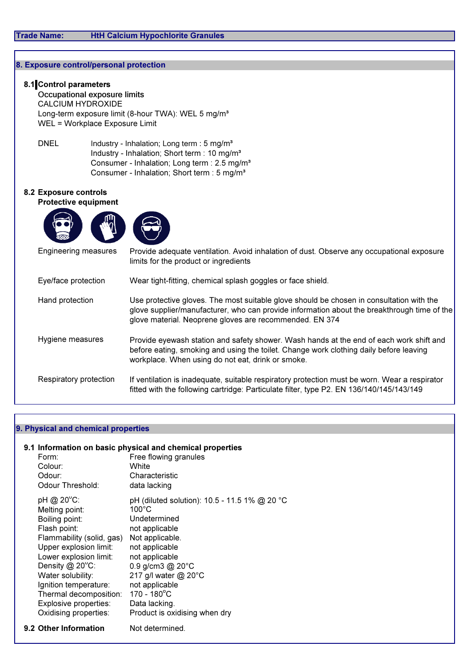## 8. Exposure control/personal protection

## 8.1 Control parameters

 Occupational exposure limits CALCIUM HYDROXIDE Long-term exposure limit (8-hour TWA): WEL 5 mg/m<sup>3</sup> WEL = Workplace Exposure Limit

DNEL Industry - Inhalation; Long term : 5 mg/m<sup>3</sup> Industry - Inhalation; Short term : 10 mg/m<sup>3</sup> Consumer - Inhalation; Long term : 2.5 mg/m<sup>3</sup> Consumer - Inhalation; Short term : 5 mg/m<sup>3</sup>

### 8.2 Exposure controls

## Protective equipment





| Engineering measures   | Provide adequate ventilation. Avoid inhalation of dust. Observe any occupational exposure<br>limits for the product or ingredients                                                                                                                 |
|------------------------|----------------------------------------------------------------------------------------------------------------------------------------------------------------------------------------------------------------------------------------------------|
| Eye/face protection    | Wear tight-fitting, chemical splash goggles or face shield.                                                                                                                                                                                        |
| Hand protection        | Use protective gloves. The most suitable glove should be chosen in consultation with the<br>glove supplier/manufacturer, who can provide information about the breakthrough time of the<br>glove material. Neoprene gloves are recommended. EN 374 |
| Hygiene measures       | Provide eyewash station and safety shower. Wash hands at the end of each work shift and<br>before eating, smoking and using the toilet. Change work clothing daily before leaving<br>workplace. When using do not eat, drink or smoke.             |
| Respiratory protection | If ventilation is inadequate, suitable respiratory protection must be worn. Wear a respirator<br>fitted with the following cartridge: Particulate filter, type P2. EN 136/140/145/143/149                                                          |

#### 9. Physical and chemical properties

#### 9.1 Information on basic physical and chemical properties

| Form:<br>Colour:<br>Odour:<br>Odour Threshold:                                                                                                                                                                                                                                                     | Free flowing granules<br>White<br>Characteristic<br>data lacking                                                                                                                                                                                                                              |
|----------------------------------------------------------------------------------------------------------------------------------------------------------------------------------------------------------------------------------------------------------------------------------------------------|-----------------------------------------------------------------------------------------------------------------------------------------------------------------------------------------------------------------------------------------------------------------------------------------------|
| pH @ 20°C:<br>Melting point:<br>Boiling point:<br>Flash point:<br>Flammability (solid, gas)<br>Upper explosion limit:<br>Lower explosion limit:<br>Density $@$ 20 $°C$ :<br>Water solubility:<br>Ignition temperature:<br>Thermal decomposition:<br>Explosive properties:<br>Oxidising properties: | pH (diluted solution): 10.5 - 11.5 1% @ 20 °C<br>$100^{\circ}$ C<br>Undetermined<br>not applicable<br>Not applicable.<br>not applicable<br>not applicable<br>0.9 g/cm3 $@$ 20 $°C$<br>217 g/l water @ 20°C<br>not applicable<br>170 - 180°C<br>Data lacking.<br>Product is oxidising when dry |
| 9.2 Other Information                                                                                                                                                                                                                                                                              | Not determined                                                                                                                                                                                                                                                                                |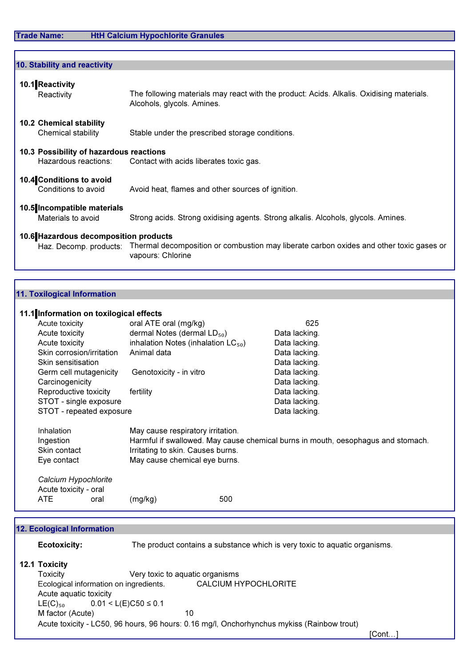# Trade Name: HtH Calcium Hypochlorite Granules

| 10. Stability and reactivity                                    |                                                                                                                        |
|-----------------------------------------------------------------|------------------------------------------------------------------------------------------------------------------------|
| 10.1 Reactivity<br>Reactivity                                   | The following materials may react with the product: Acids. Alkalis. Oxidising materials.<br>Alcohols, glycols. Amines. |
| <b>10.2 Chemical stability</b>                                  |                                                                                                                        |
| Chemical stability                                              | Stable under the prescribed storage conditions.                                                                        |
| 10.3 Possibility of hazardous reactions<br>Hazardous reactions: | Contact with acids liberates toxic gas.                                                                                |
| 10.4 Conditions to avoid<br>Conditions to avoid                 | Avoid heat, flames and other sources of ignition.                                                                      |
| 10.5 Incompatible materials<br>Materials to avoid               | Strong acids. Strong oxidising agents. Strong alkalis. Alcohols, glycols. Amines.                                      |
| 10.6 Hazardous decomposition products                           |                                                                                                                        |

Haz. Decomp. products: Thermal decomposition or combustion may liberate carbon oxides and other toxic gases or vapours: Chlorine

### 11. Toxilogical Information

### 11.1 Information on toxilogical effects

| Acute toxicity                                               | oral ATE oral (mg/kg)                                                                                   | 625                                                                              |
|--------------------------------------------------------------|---------------------------------------------------------------------------------------------------------|----------------------------------------------------------------------------------|
| Acute toxicity                                               | dermal Notes (dermal $LD_{50}$ )                                                                        | Data lacking.                                                                    |
| Acute toxicity                                               | inhalation Notes (inhalation $LC_{50}$ )                                                                | Data lacking.                                                                    |
| Skin corrosion/irritation                                    | Animal data                                                                                             | Data lacking.                                                                    |
| Skin sensitisation                                           |                                                                                                         | Data lacking.                                                                    |
| Germ cell mutagenicity                                       | Genotoxicity - in vitro                                                                                 | Data lacking.                                                                    |
| Carcinogenicity                                              |                                                                                                         | Data lacking.                                                                    |
| Reproductive toxicity                                        | fertility                                                                                               | Data lacking.                                                                    |
| STOT - single exposure                                       |                                                                                                         | Data lacking.                                                                    |
| STOT - repeated exposure                                     |                                                                                                         | Data lacking.                                                                    |
| Inhalation<br>Ingestion<br>Skin contact<br>Eye contact       | May cause respiratory irritation.<br>Irritating to skin. Causes burns.<br>May cause chemical eye burns. | Harmful if swallowed. May cause chemical burns in mouth, oesophagus and stomach. |
| Calcium Hypochlorite<br>Acute toxicity - oral<br>ATE<br>oral | (mg/kg)                                                                                                 | 500                                                                              |

| <b>12. Ecological Information</b> |                                                                                            |  |
|-----------------------------------|--------------------------------------------------------------------------------------------|--|
| <b>Ecotoxicity:</b>               | The product contains a substance which is very toxic to aquatic organisms.                 |  |
| 12.1 Toxicity                     |                                                                                            |  |
| <b>Toxicity</b>                   | Very toxic to aquatic organisms                                                            |  |
|                                   | CALCIUM HYPOCHLORITE<br>Ecological information on ingredients.                             |  |
| Acute aquatic toxicity            |                                                                                            |  |
| $LE(C)_{50}$                      | $0.01 < L(E)C50 \le 0.1$                                                                   |  |
| M factor (Acute)                  | 10                                                                                         |  |
|                                   | Acute toxicity - LC50, 96 hours, 96 hours: 0.16 mg/l, Onchorhynchus mykiss (Rainbow trout) |  |
|                                   | iCont.                                                                                     |  |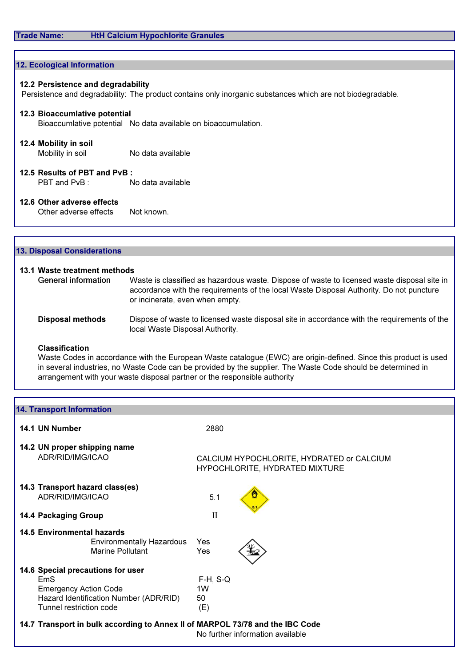### Trade Name: HtH Calcium Hypochlorite Granules

| 12. Ecological Information         |                                                                                                            |
|------------------------------------|------------------------------------------------------------------------------------------------------------|
|                                    |                                                                                                            |
| 12.2 Persistence and degradability |                                                                                                            |
|                                    | Persistence and degradability: The product contains only inorganic substances which are not biodegradable. |
|                                    |                                                                                                            |
| 12.3 Bioaccumlative potential      |                                                                                                            |
|                                    | Bioaccumlative potential No data available on bioaccumulation.                                             |
|                                    |                                                                                                            |
| 12.4 Mobility in soil              |                                                                                                            |
| Mobility in soil                   | No data available                                                                                          |
|                                    |                                                                                                            |
| 12.5 Results of PBT and PvB:       |                                                                                                            |
| PBT and PvB: No data available     |                                                                                                            |
|                                    |                                                                                                            |
| 12.6 Other adverse effects         |                                                                                                            |
|                                    |                                                                                                            |
| Other adverse effects              | Not known.                                                                                                 |

| 13.1 Waste treatment methods |                                                                                                                                                                                                                           |
|------------------------------|---------------------------------------------------------------------------------------------------------------------------------------------------------------------------------------------------------------------------|
| <b>General information</b>   | Waste is classified as hazardous waste. Dispose of waste to licensed waste disposal site in<br>accordance with the requirements of the local Waste Disposal Authority. Do not puncture<br>or incinerate, even when empty. |
| <b>Disposal methods</b>      | Dispose of waste to licensed waste disposal site in accordance with the requirements of the<br>local Waste Disposal Authority.                                                                                            |

#### Classification

13. Disposal Considerations

Waste Codes in accordance with the European Waste catalogue (EWC) are origin-defined. Since this product is used in several industries, no Waste Code can be provided by the supplier. The Waste Code should be determined in arrangement with your waste disposal partner or the responsible authority

| <b>14. Transport Information</b>                                                                                                                                                                                               |                                                                             |
|--------------------------------------------------------------------------------------------------------------------------------------------------------------------------------------------------------------------------------|-----------------------------------------------------------------------------|
| 14.1 UN Number                                                                                                                                                                                                                 | 2880                                                                        |
| 14.2 UN proper shipping name<br>ADR/RID/IMG/ICAO                                                                                                                                                                               | CALCIUM HYPOCHLORITE, HYDRATED or CALCIUM<br>HYPOCHLORITE, HYDRATED MIXTURE |
| 14.3 Transport hazard class(es)<br>ADR/RID/IMG/ICAO                                                                                                                                                                            | 5.1                                                                         |
| <b>14.4 Packaging Group</b>                                                                                                                                                                                                    | $\mathbf{I}$                                                                |
| <b>14.5 Environmental hazards</b><br><b>Environmentally Hazardous</b><br><b>Marine Pollutant</b>                                                                                                                               | Yes<br>Yes                                                                  |
| 14.6 Special precautions for user<br>EmS<br><b>Emergency Action Code</b><br>Hazard Identification Number (ADR/RID)<br>Tunnel restriction code<br>14.7 Transport in bulk according to Annex II of MARPOL 73/78 and the IBC Code | $F-H$ , $S-Q$<br>1 <sub>W</sub><br>50<br>(E)                                |
|                                                                                                                                                                                                                                | No further information available                                            |